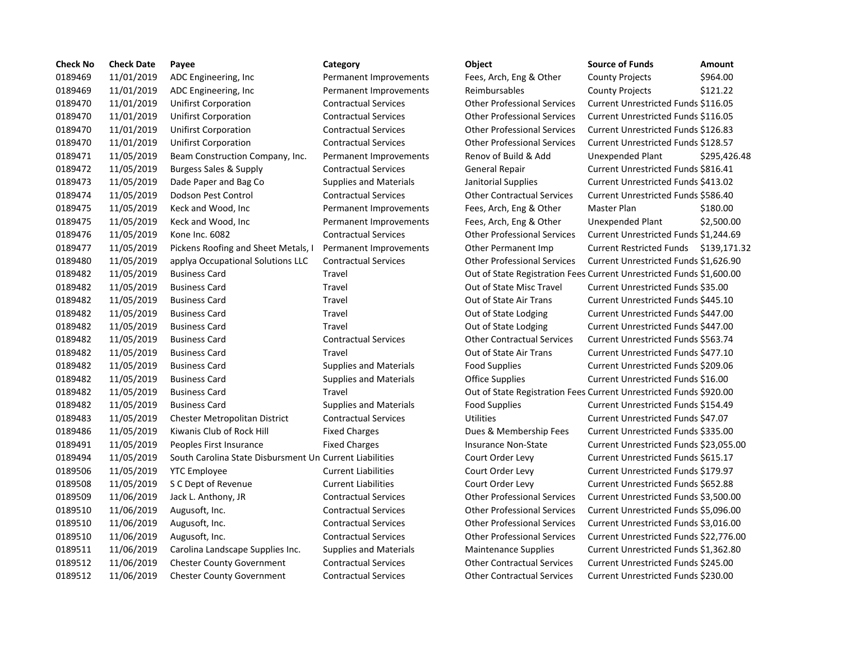| <b>Check No</b> | <b>Check Date</b> | Payee                                                   | Category                      | Object                                                               | <b>Source of Funds</b>                 | Amount       |
|-----------------|-------------------|---------------------------------------------------------|-------------------------------|----------------------------------------------------------------------|----------------------------------------|--------------|
| 0189469         | 11/01/2019        | ADC Engineering, Inc.                                   | Permanent Improvements        | Fees, Arch, Eng & Other                                              | <b>County Projects</b>                 | \$964.00     |
| 0189469         | 11/01/2019        | ADC Engineering, Inc                                    | Permanent Improvements        | Reimbursables                                                        | <b>County Projects</b>                 | \$121.22     |
| 0189470         | 11/01/2019        | Unifirst Corporation                                    | <b>Contractual Services</b>   | <b>Other Professional Services</b>                                   | Current Unrestricted Funds \$116.05    |              |
| 0189470         | 11/01/2019        | <b>Unifirst Corporation</b>                             | <b>Contractual Services</b>   | <b>Other Professional Services</b>                                   | Current Unrestricted Funds \$116.05    |              |
| 0189470         | 11/01/2019        | Unifirst Corporation                                    | <b>Contractual Services</b>   | <b>Other Professional Services</b>                                   | Current Unrestricted Funds \$126.83    |              |
| 0189470         | 11/01/2019        | <b>Unifirst Corporation</b>                             | <b>Contractual Services</b>   | <b>Other Professional Services</b>                                   | Current Unrestricted Funds \$128.57    |              |
| 0189471         | 11/05/2019        | Beam Construction Company, Inc.                         | Permanent Improvements        | Renov of Build & Add                                                 | Unexpended Plant                       | \$295,426.48 |
| 0189472         | 11/05/2019        | <b>Burgess Sales &amp; Supply</b>                       | <b>Contractual Services</b>   | <b>General Repair</b>                                                | Current Unrestricted Funds \$816.41    |              |
| 0189473         | 11/05/2019        | Dade Paper and Bag Co                                   | <b>Supplies and Materials</b> | Janitorial Supplies                                                  | Current Unrestricted Funds \$413.02    |              |
| 0189474         | 11/05/2019        | Dodson Pest Control                                     | <b>Contractual Services</b>   | <b>Other Contractual Services</b>                                    | Current Unrestricted Funds \$586.40    |              |
| 0189475         | 11/05/2019        | Keck and Wood, Inc                                      | Permanent Improvements        | Fees, Arch, Eng & Other                                              | Master Plan                            | \$180.00     |
| 0189475         | 11/05/2019        | Keck and Wood, Inc                                      | Permanent Improvements        | Fees, Arch, Eng & Other                                              | Unexpended Plant                       | \$2,500.00   |
| 0189476         | 11/05/2019        | Kone Inc. 6082                                          | <b>Contractual Services</b>   | <b>Other Professional Services</b>                                   | Current Unrestricted Funds \$1,244.69  |              |
| 0189477         | 11/05/2019        | Pickens Roofing and Sheet Metals, I                     | Permanent Improvements        | Other Permanent Imp                                                  | Current Restricted Funds \$139,171.32  |              |
| 0189480         | 11/05/2019        | applya Occupational Solutions LLC                       | <b>Contractual Services</b>   | <b>Other Professional Services</b>                                   | Current Unrestricted Funds \$1,626.90  |              |
| 0189482         | 11/05/2019        | <b>Business Card</b>                                    | Travel                        | Out of State Registration Fees Current Unrestricted Funds \$1,600.00 |                                        |              |
| 0189482         | 11/05/2019        | <b>Business Card</b>                                    | Travel                        | Out of State Misc Travel                                             | Current Unrestricted Funds \$35.00     |              |
| 0189482         | 11/05/2019        | <b>Business Card</b>                                    | Travel                        | Out of State Air Trans                                               | Current Unrestricted Funds \$445.10    |              |
| 0189482         | 11/05/2019        | <b>Business Card</b>                                    | Travel                        | Out of State Lodging                                                 | Current Unrestricted Funds \$447.00    |              |
| 0189482         | 11/05/2019        | <b>Business Card</b>                                    | Travel                        | Out of State Lodging                                                 | Current Unrestricted Funds \$447.00    |              |
| 0189482         | 11/05/2019        | <b>Business Card</b>                                    | <b>Contractual Services</b>   | <b>Other Contractual Services</b>                                    | Current Unrestricted Funds \$563.74    |              |
| 0189482         | 11/05/2019        | <b>Business Card</b>                                    | Travel                        | Out of State Air Trans                                               | Current Unrestricted Funds \$477.10    |              |
| 0189482         | 11/05/2019        | <b>Business Card</b>                                    | <b>Supplies and Materials</b> | <b>Food Supplies</b>                                                 | Current Unrestricted Funds \$209.06    |              |
| 0189482         | 11/05/2019        | <b>Business Card</b>                                    | <b>Supplies and Materials</b> | <b>Office Supplies</b>                                               | Current Unrestricted Funds \$16.00     |              |
| 0189482         | 11/05/2019        | <b>Business Card</b>                                    | Travel                        | Out of State Registration Fees Current Unrestricted Funds \$920.00   |                                        |              |
| 0189482         | 11/05/2019        | <b>Business Card</b>                                    | <b>Supplies and Materials</b> | <b>Food Supplies</b>                                                 | Current Unrestricted Funds \$154.49    |              |
| 0189483         | 11/05/2019        | <b>Chester Metropolitan District</b>                    | <b>Contractual Services</b>   | <b>Utilities</b>                                                     | Current Unrestricted Funds \$47.07     |              |
| 0189486         | 11/05/2019        | Kiwanis Club of Rock Hill                               | <b>Fixed Charges</b>          | Dues & Membership Fees                                               | Current Unrestricted Funds \$335.00    |              |
| 0189491         | 11/05/2019        | Peoples First Insurance                                 | <b>Fixed Charges</b>          | Insurance Non-State                                                  | Current Unrestricted Funds \$23,055.00 |              |
| 0189494         | 11/05/2019        | South Carolina State Disbursment Un Current Liabilities |                               | Court Order Levy                                                     | Current Unrestricted Funds \$615.17    |              |
| 0189506         | 11/05/2019        | <b>YTC Employee</b>                                     | <b>Current Liabilities</b>    | Court Order Levy                                                     | Current Unrestricted Funds \$179.97    |              |
| 0189508         | 11/05/2019        | S C Dept of Revenue                                     | <b>Current Liabilities</b>    | Court Order Levy                                                     | Current Unrestricted Funds \$652.88    |              |
| 0189509         | 11/06/2019        | Jack L. Anthony, JR                                     | <b>Contractual Services</b>   | <b>Other Professional Services</b>                                   | Current Unrestricted Funds \$3,500.00  |              |
| 0189510         | 11/06/2019        | Augusoft, Inc.                                          | <b>Contractual Services</b>   | <b>Other Professional Services</b>                                   | Current Unrestricted Funds \$5,096.00  |              |
| 0189510         | 11/06/2019        | Augusoft, Inc.                                          | <b>Contractual Services</b>   | <b>Other Professional Services</b>                                   | Current Unrestricted Funds \$3,016.00  |              |
| 0189510         | 11/06/2019        | Augusoft, Inc.                                          | <b>Contractual Services</b>   | <b>Other Professional Services</b>                                   | Current Unrestricted Funds \$22,776.00 |              |
| 0189511         | 11/06/2019        | Carolina Landscape Supplies Inc.                        | <b>Supplies and Materials</b> | <b>Maintenance Supplies</b>                                          | Current Unrestricted Funds \$1,362.80  |              |
| 0189512         | 11/06/2019        | <b>Chester County Government</b>                        | <b>Contractual Services</b>   | <b>Other Contractual Services</b>                                    | Current Unrestricted Funds \$245.00    |              |
| 0189512         | 11/06/2019        | <b>Chester County Government</b>                        | <b>Contractual Services</b>   | <b>Other Contractual Services</b>                                    | Current Unrestricted Funds \$230.00    |              |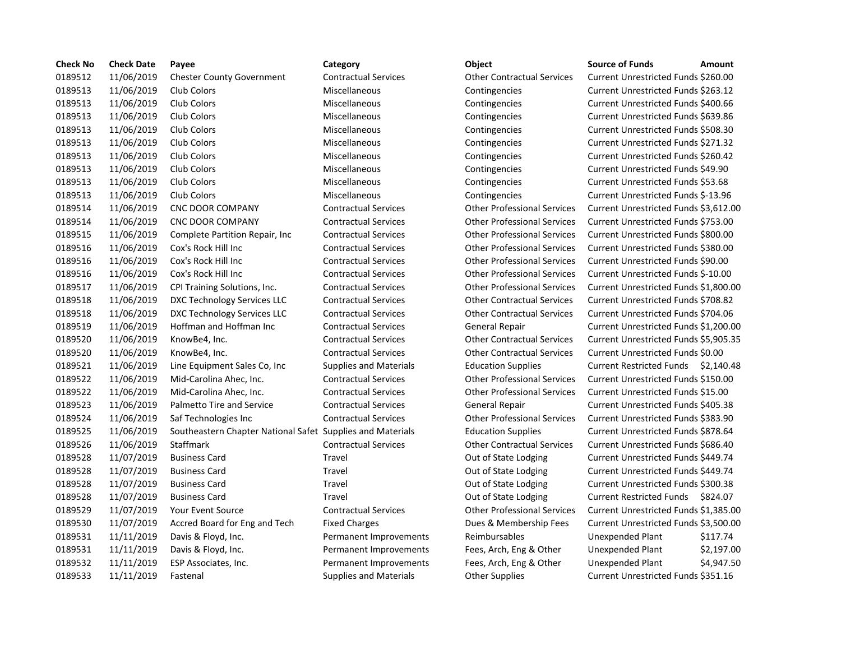| <b>Check No</b> | <b>Check Date</b> | Payee                                                      | Category                      | Object                             | <b>Source of Funds</b><br>Amount           |
|-----------------|-------------------|------------------------------------------------------------|-------------------------------|------------------------------------|--------------------------------------------|
| 0189512         | 11/06/2019        | <b>Chester County Government</b>                           | <b>Contractual Services</b>   | <b>Other Contractual Services</b>  | Current Unrestricted Funds \$260.00        |
| 0189513         | 11/06/2019        | Club Colors                                                | Miscellaneous                 | Contingencies                      | Current Unrestricted Funds \$263.12        |
| 0189513         | 11/06/2019        | Club Colors                                                | Miscellaneous                 | Contingencies                      | Current Unrestricted Funds \$400.66        |
| 0189513         | 11/06/2019        | Club Colors                                                | Miscellaneous                 | Contingencies                      | Current Unrestricted Funds \$639.86        |
| 0189513         | 11/06/2019        | Club Colors                                                | Miscellaneous                 | Contingencies                      | Current Unrestricted Funds \$508.30        |
| 0189513         | 11/06/2019        | Club Colors                                                | Miscellaneous                 | Contingencies                      | Current Unrestricted Funds \$271.32        |
| 0189513         | 11/06/2019        | Club Colors                                                | Miscellaneous                 | Contingencies                      | <b>Current Unrestricted Funds \$260.42</b> |
| 0189513         | 11/06/2019        | Club Colors                                                | Miscellaneous                 | Contingencies                      | Current Unrestricted Funds \$49.90         |
| 0189513         | 11/06/2019        | Club Colors                                                | Miscellaneous                 | Contingencies                      | Current Unrestricted Funds \$53.68         |
| 0189513         | 11/06/2019        | Club Colors                                                | Miscellaneous                 | Contingencies                      | Current Unrestricted Funds \$-13.96        |
| 0189514         | 11/06/2019        | <b>CNC DOOR COMPANY</b>                                    | <b>Contractual Services</b>   | <b>Other Professional Services</b> | Current Unrestricted Funds \$3,612.0       |
| 0189514         | 11/06/2019        | <b>CNC DOOR COMPANY</b>                                    | <b>Contractual Services</b>   | <b>Other Professional Services</b> | Current Unrestricted Funds \$753.00        |
| 0189515         | 11/06/2019        | Complete Partition Repair, Inc.                            | <b>Contractual Services</b>   | <b>Other Professional Services</b> | Current Unrestricted Funds \$800.00        |
| 0189516         | 11/06/2019        | Cox's Rock Hill Inc                                        | <b>Contractual Services</b>   | <b>Other Professional Services</b> | Current Unrestricted Funds \$380.00        |
| 0189516         | 11/06/2019        | Cox's Rock Hill Inc                                        | <b>Contractual Services</b>   | <b>Other Professional Services</b> | Current Unrestricted Funds \$90.00         |
| 0189516         | 11/06/2019        | Cox's Rock Hill Inc                                        | <b>Contractual Services</b>   | <b>Other Professional Services</b> | Current Unrestricted Funds \$-10.00        |
| 0189517         | 11/06/2019        | CPI Training Solutions, Inc.                               | <b>Contractual Services</b>   | <b>Other Professional Services</b> | Current Unrestricted Funds \$1,800.0       |
| 0189518         | 11/06/2019        | DXC Technology Services LLC                                | <b>Contractual Services</b>   | <b>Other Contractual Services</b>  | Current Unrestricted Funds \$708.82        |
| 0189518         | 11/06/2019        | DXC Technology Services LLC                                | <b>Contractual Services</b>   | <b>Other Contractual Services</b>  | Current Unrestricted Funds \$704.06        |
| 0189519         | 11/06/2019        | Hoffman and Hoffman Inc                                    | <b>Contractual Services</b>   | <b>General Repair</b>              | Current Unrestricted Funds \$1,200.0       |
| 0189520         | 11/06/2019        | KnowBe4, Inc.                                              | <b>Contractual Services</b>   | <b>Other Contractual Services</b>  | Current Unrestricted Funds \$5,905.3       |
| 0189520         | 11/06/2019        | KnowBe4, Inc.                                              | <b>Contractual Services</b>   | <b>Other Contractual Services</b>  | Current Unrestricted Funds \$0.00          |
| 0189521         | 11/06/2019        | Line Equipment Sales Co, Inc.                              | <b>Supplies and Materials</b> | <b>Education Supplies</b>          | Current Restricted Funds \$2,140.4         |
| 0189522         | 11/06/2019        | Mid-Carolina Ahec, Inc.                                    | <b>Contractual Services</b>   | <b>Other Professional Services</b> | Current Unrestricted Funds \$150.00        |
| 0189522         | 11/06/2019        | Mid-Carolina Ahec, Inc.                                    | <b>Contractual Services</b>   | <b>Other Professional Services</b> | Current Unrestricted Funds \$15.00         |
| 0189523         | 11/06/2019        | Palmetto Tire and Service                                  | <b>Contractual Services</b>   | <b>General Repair</b>              | Current Unrestricted Funds \$405.38        |
| 0189524         | 11/06/2019        | Saf Technologies Inc                                       | <b>Contractual Services</b>   | <b>Other Professional Services</b> | Current Unrestricted Funds \$383.90        |
| 0189525         | 11/06/2019        | Southeastern Chapter National Safet Supplies and Materials |                               | <b>Education Supplies</b>          | Current Unrestricted Funds \$878.64        |
| 0189526         | 11/06/2019        | Staffmark                                                  | <b>Contractual Services</b>   | <b>Other Contractual Services</b>  | Current Unrestricted Funds \$686.40        |
| 0189528         | 11/07/2019        | <b>Business Card</b>                                       | Travel                        | Out of State Lodging               | Current Unrestricted Funds \$449.74        |
| 0189528         | 11/07/2019        | <b>Business Card</b>                                       | Travel                        | Out of State Lodging               | Current Unrestricted Funds \$449.74        |
| 0189528         | 11/07/2019        | <b>Business Card</b>                                       | Travel                        | Out of State Lodging               | Current Unrestricted Funds \$300.38        |
| 0189528         | 11/07/2019        | <b>Business Card</b>                                       | Travel                        | Out of State Lodging               | Current Restricted Funds \$824.07          |
| 0189529         | 11/07/2019        | Your Event Source                                          | <b>Contractual Services</b>   | <b>Other Professional Services</b> | Current Unrestricted Funds \$1,385.        |
| 0189530         | 11/07/2019        | Accred Board for Eng and Tech                              | <b>Fixed Charges</b>          | Dues & Membership Fees             | Current Unrestricted Funds \$3,500.0       |
| 0189531         | 11/11/2019        | Davis & Floyd, Inc.                                        | Permanent Improvements        | Reimbursables                      | Unexpended Plant<br>\$117.74               |
| 0189531         | 11/11/2019        | Davis & Floyd, Inc.                                        | Permanent Improvements        | Fees, Arch, Eng & Other            | \$2,197.0<br>Unexpended Plant              |
| 0189532         | 11/11/2019        | ESP Associates, Inc.                                       | Permanent Improvements        | Fees, Arch, Eng & Other            | \$4,947.5<br>Unexpended Plant              |
| 0189533         | 11/11/2019        | Fastenal                                                   | <b>Supplies and Materials</b> | <b>Other Supplies</b>              | Current Unrestricted Funds \$351.16        |

# 0189512 11/06/2019 Chester County Government Contractual Services Other Contractual Services Current Unrestricted Funds \$260.00 aneous **11.06.13 11.06.13 Contingencies** Current Unrestricted Funds \$263.12 aneous **111113 11113 111113 11113 11113 11113 11113 11113 11113 11113 11113 11113 11113 11113 11113 1111** aneous 0189513 11/06/2019 Club Colors Miscellaneous Contingencies Current Unrestricted Funds \$639.86 aneous **11.1206 11.06.12019 Contingencies** Current Unrestricted Funds \$508.30 aneous **11.06.139512 Contingencies** Current Unrestricted Funds \$271.32 aneous **11.139513 11.13 11.13 11.13 11.13 11.13 11.13 11.13 11.13 11.13 11.13 11.13 11.13 11.13 11.13 11.13 11.** aneous **11.13 11.13 11.13 11.13 11.13 11.13 11.13 11.13 11.13 11.13 11.13 11.13 11.13 11.13 11.13 11.13 11.13 1** 0189513 11/06/2019 Club Colors Miscellaneous Contingencies Current Unrestricted Funds \$53.68 0189513 11/06/2019 Club Colors Miscellaneous Contingencies Current Unrestricted Funds \$-13.96 0189514 11/06/2019 CNC DOOR COMPANY Contractual Services Other Professional Services Current Unrestricted Funds \$3,612.00 0189514 11/06/2019 CNC DOOR COMPANY Contractual Services Other Professional Services Current Unrestricted Funds \$753.00 0189515 11/06/2019 Complete Partition Repair, Inc Contractual Services Other Professional Services Current Unrestricted Funds \$800.00 0189516 11/06/2019 Cox's Rock Hill Inc Contractual Services Other Professional Services Current Unrestricted Funds \$380.00 0189516 11/06/2019 Cox's Rock Hill Inc Contractual Services Other Professional Services Current Unrestricted Funds \$90.00 0189516 11/06/2019 Cox's Rock Hill Inc Contractual Services Other Professional Services Current Unrestricted Funds \$-10.00 0189517 11/06/2019 CPI Training Solutions, Inc. Contractual Services Other Professional Services Current Unrestricted Funds \$1,800.00 0189518 11/06/2019 DXC Technology Services LLC Contractual Services Other Contractual Services Current Unrestricted Funds \$708.82 0189518 11/06/2019 DXC Technology Services LLC Contractual Services Other Contractual Services Current Unrestricted Funds \$704.06 0189519 11/06/2019 Hoffman and Hoffman Inc Contractual Services General Repair Current Unrestricted Funds \$1,200.00 0189520 11/06/2019 KnowBe4, Inc. Contractual Services Other Contractual Services Current Unrestricted Funds \$5,905.35 0189520 11/06/2019 KnowBe4, Inc. Contractual Services Other Contractual Services Current Unrestricted Funds \$0.00 1935 Is and Materials **Education Supplies Current Restricted Funds** \$2,140.48 0189522 11/06/2019 Mid-Carolina Ahec, Inc. Contractual Services Other Professional Services Current Unrestricted Funds \$150.00 0189522 11/06/2019 Mid-Carolina Ahec, Inc. Contractual Services Other Professional Services Current Unrestricted Funds \$15.00 0189523 11/06/2019 Palmetto Tire and Service Contractual Services General Repair Current Unrestricted Funds \$405.38 0189524 11/06/2019 Saf Technologies Inc Contractual Services Other Professional Services Current Unrestricted Funds \$383.90 onternation Supplies and Materials Supplies Supplies Current Unrestricted Funds \$878.64 0189526 11/06/2019 Staffmark Contractual Services Other Contractual Services Current Unrestricted Funds \$686.40 Out of State Lodging Current Unrestricted Funds \$449.74 Out of State Lodging Current Unrestricted Funds \$449.74 Out of State Lodging Current Unrestricted Funds \$300.38 Out of State Lodging Current Restricted Funds \$824.07 0189529 11/07/2019 Your Event Source Contractual Services Other Professional Services Current Unrestricted Funds \$1,385.00 harges Tech Charges Board Engine Board Fixed Engines Accreding Controllers Accreding Fees Current Unrestricted Funds \$3,500.00 nent Improvements Reimbursables **Demanent Improvements** Reimbursables Unexpended Plant \$117.74 01189531 1111/11/11/11/2019 Parmanents Fees, Arch, Eng & Other Unexpended Plant \$2,197.00 nent Improvements Fees, Arch, Eng & Other Unexpended Plant \$4,947.50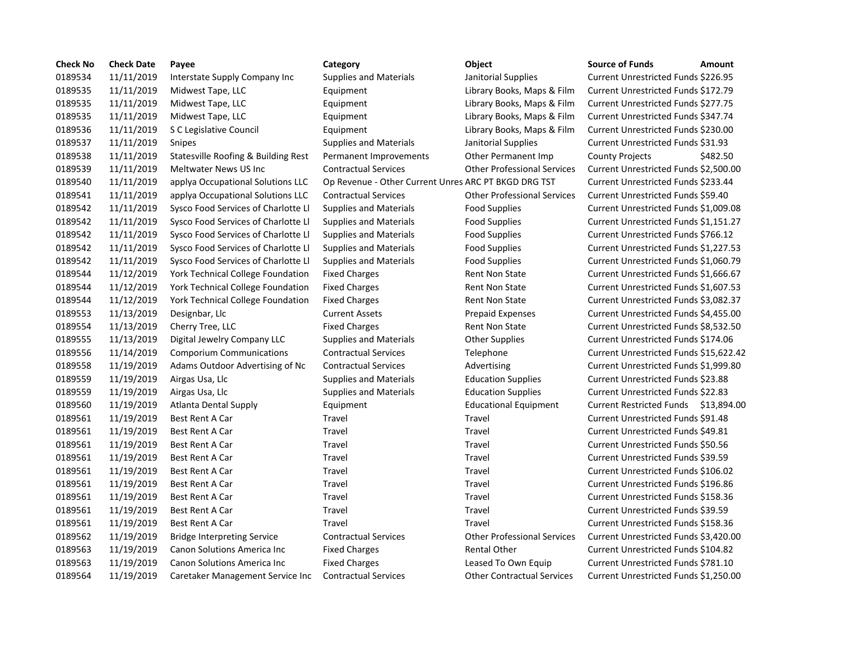| <b>Check No</b> | <b>Check Date</b> | Payee                               | Category                                             | Object                             | <b>Source of Funds</b><br>Amount           |
|-----------------|-------------------|-------------------------------------|------------------------------------------------------|------------------------------------|--------------------------------------------|
| 0189534         | 11/11/2019        | Interstate Supply Company Inc       | <b>Supplies and Materials</b>                        | Janitorial Supplies                | Current Unrestricted Funds \$226.95        |
| 0189535         | 11/11/2019        | Midwest Tape, LLC                   | Equipment                                            | Library Books, Maps & Film         | Current Unrestricted Funds \$172.79        |
| 0189535         | 11/11/2019        | Midwest Tape, LLC                   | Equipment                                            | Library Books, Maps & Film         | Current Unrestricted Funds \$277.75        |
| 0189535         | 11/11/2019        | Midwest Tape, LLC                   | Equipment                                            | Library Books, Maps & Film         | Current Unrestricted Funds \$347.74        |
| 0189536         | 11/11/2019        | S C Legislative Council             | Equipment                                            | Library Books, Maps & Film         | Current Unrestricted Funds \$230.00        |
| 0189537         | 11/11/2019        | Snipes                              | <b>Supplies and Materials</b>                        | Janitorial Supplies                | Current Unrestricted Funds \$31.93         |
| 0189538         | 11/11/2019        | Statesville Roofing & Building Rest | Permanent Improvements                               | Other Permanent Imp                | <b>County Projects</b><br>\$482.50         |
| 0189539         | 11/11/2019        | Meltwater News US Inc               | <b>Contractual Services</b>                          | <b>Other Professional Services</b> | Current Unrestricted Funds \$2,500.00      |
| 0189540         | 11/11/2019        | applya Occupational Solutions LLC   | Op Revenue - Other Current Unres ARC PT BKGD DRG TST |                                    | Current Unrestricted Funds \$233.44        |
| 0189541         | 11/11/2019        | applya Occupational Solutions LLC   | <b>Contractual Services</b>                          | <b>Other Professional Services</b> | Current Unrestricted Funds \$59.40         |
| 0189542         | 11/11/2019        | Sysco Food Services of Charlotte Ll | <b>Supplies and Materials</b>                        | <b>Food Supplies</b>               | Current Unrestricted Funds \$1,009.08      |
| 0189542         | 11/11/2019        | Sysco Food Services of Charlotte Ll | <b>Supplies and Materials</b>                        | <b>Food Supplies</b>               | Current Unrestricted Funds \$1,151.27      |
| 0189542         | 11/11/2019        | Sysco Food Services of Charlotte Ll | <b>Supplies and Materials</b>                        | <b>Food Supplies</b>               | Current Unrestricted Funds \$766.12        |
| 0189542         | 11/11/2019        | Sysco Food Services of Charlotte Ll | <b>Supplies and Materials</b>                        | <b>Food Supplies</b>               | Current Unrestricted Funds \$1,227.53      |
| 0189542         | 11/11/2019        | Sysco Food Services of Charlotte Ll | <b>Supplies and Materials</b>                        | <b>Food Supplies</b>               | Current Unrestricted Funds \$1,060.79      |
| 0189544         | 11/12/2019        | York Technical College Foundation   | <b>Fixed Charges</b>                                 | <b>Rent Non State</b>              | Current Unrestricted Funds \$1,666.67      |
| 0189544         | 11/12/2019        | York Technical College Foundation   | <b>Fixed Charges</b>                                 | <b>Rent Non State</b>              | Current Unrestricted Funds \$1,607.53      |
| 0189544         | 11/12/2019        | York Technical College Foundation   | <b>Fixed Charges</b>                                 | <b>Rent Non State</b>              | Current Unrestricted Funds \$3,082.37      |
| 0189553         | 11/13/2019        | Designbar, Llc                      | <b>Current Assets</b>                                | <b>Prepaid Expenses</b>            | Current Unrestricted Funds \$4,455.00      |
| 0189554         | 11/13/2019        | Cherry Tree, LLC                    | <b>Fixed Charges</b>                                 | <b>Rent Non State</b>              | Current Unrestricted Funds \$8,532.50      |
| 0189555         | 11/13/2019        | Digital Jewelry Company LLC         | <b>Supplies and Materials</b>                        | <b>Other Supplies</b>              | Current Unrestricted Funds \$174.06        |
| 0189556         | 11/14/2019        | <b>Comporium Communications</b>     | <b>Contractual Services</b>                          | Telephone                          | Current Unrestricted Funds \$15,622.42     |
| 0189558         | 11/19/2019        | Adams Outdoor Advertising of Nc     | <b>Contractual Services</b>                          | Advertising                        | Current Unrestricted Funds \$1,999.80      |
| 0189559         | 11/19/2019        | Airgas Usa, Llc                     | <b>Supplies and Materials</b>                        | <b>Education Supplies</b>          | <b>Current Unrestricted Funds \$23.88</b>  |
| 0189559         | 11/19/2019        | Airgas Usa, Llc                     | <b>Supplies and Materials</b>                        | <b>Education Supplies</b>          | <b>Current Unrestricted Funds \$22.83</b>  |
| 0189560         | 11/19/2019        | <b>Atlanta Dental Supply</b>        | Equipment                                            | <b>Educational Equipment</b>       | Current Restricted Funds \$13,894.00       |
| 0189561         | 11/19/2019        | Best Rent A Car                     | Travel                                               | Travel                             | Current Unrestricted Funds \$91.48         |
| 0189561         | 11/19/2019        | Best Rent A Car                     | Travel                                               | Travel                             | Current Unrestricted Funds \$49.81         |
| 0189561         | 11/19/2019        | Best Rent A Car                     | Travel                                               | Travel                             | Current Unrestricted Funds \$50.56         |
| 0189561         | 11/19/2019        | Best Rent A Car                     | Travel                                               | Travel                             | Current Unrestricted Funds \$39.59         |
| 0189561         | 11/19/2019        | <b>Best Rent A Car</b>              | Travel                                               | Travel                             | Current Unrestricted Funds \$106.02        |
| 0189561         | 11/19/2019        | <b>Best Rent A Car</b>              | Travel                                               | Travel                             | Current Unrestricted Funds \$196.86        |
| 0189561         | 11/19/2019        | <b>Best Rent A Car</b>              | Travel                                               | Travel                             | Current Unrestricted Funds \$158.36        |
| 0189561         | 11/19/2019        | Best Rent A Car                     | Travel                                               | Travel                             | Current Unrestricted Funds \$39.59         |
| 0189561         | 11/19/2019        | Best Rent A Car                     | Travel                                               | Travel                             | Current Unrestricted Funds \$158.36        |
| 0189562         | 11/19/2019        | <b>Bridge Interpreting Service</b>  | <b>Contractual Services</b>                          | <b>Other Professional Services</b> | Current Unrestricted Funds \$3,420.00      |
| 0189563         | 11/19/2019        | Canon Solutions America Inc         | <b>Fixed Charges</b>                                 | <b>Rental Other</b>                | <b>Current Unrestricted Funds \$104.82</b> |
| 0189563         | 11/19/2019        | <b>Canon Solutions America Inc.</b> | <b>Fixed Charges</b>                                 | Leased To Own Equip                | Current Unrestricted Funds \$781.10        |
| 0189564         | 11/19/2019        | Caretaker Management Service Inc    | <b>Contractual Services</b>                          | <b>Other Contractual Services</b>  | Current Unrestricted Funds \$1,250.00      |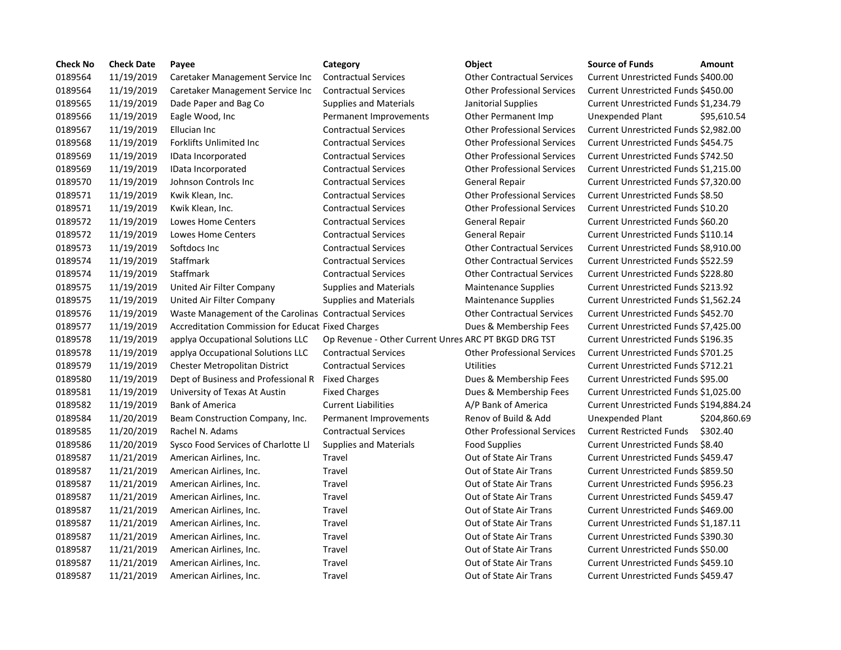| <b>Check No</b> | <b>Check Date</b> | Payee                                                  | Category                                             | Object                             | <b>Source of Funds</b><br>Amount            |  |
|-----------------|-------------------|--------------------------------------------------------|------------------------------------------------------|------------------------------------|---------------------------------------------|--|
| 0189564         | 11/19/2019        | Caretaker Management Service Inc                       | <b>Contractual Services</b>                          | <b>Other Contractual Services</b>  | Current Unrestricted Funds \$400.00         |  |
| 0189564         | 11/19/2019        | Caretaker Management Service Inc                       | <b>Contractual Services</b>                          | <b>Other Professional Services</b> | Current Unrestricted Funds \$450.00         |  |
| 0189565         | 11/19/2019        | Dade Paper and Bag Co                                  | <b>Supplies and Materials</b>                        | Janitorial Supplies                | Current Unrestricted Funds \$1,234.79       |  |
| 0189566         | 11/19/2019        | Eagle Wood, Inc.                                       | Permanent Improvements                               | Other Permanent Imp                | Unexpended Plant<br>\$95,610.54             |  |
| 0189567         | 11/19/2019        | Ellucian Inc                                           | <b>Contractual Services</b>                          | <b>Other Professional Services</b> | Current Unrestricted Funds \$2,982.00       |  |
| 0189568         | 11/19/2019        | Forklifts Unlimited Inc                                | <b>Contractual Services</b>                          | <b>Other Professional Services</b> | Current Unrestricted Funds \$454.75         |  |
| 0189569         | 11/19/2019        | IData Incorporated                                     | <b>Contractual Services</b>                          | <b>Other Professional Services</b> | Current Unrestricted Funds \$742.50         |  |
| 0189569         | 11/19/2019        | IData Incorporated                                     | <b>Contractual Services</b>                          | <b>Other Professional Services</b> | Current Unrestricted Funds \$1,215.00       |  |
| 0189570         | 11/19/2019        | Johnson Controls Inc                                   | <b>Contractual Services</b>                          | <b>General Repair</b>              | Current Unrestricted Funds \$7,320.00       |  |
| 0189571         | 11/19/2019        | Kwik Klean, Inc.                                       | <b>Contractual Services</b>                          | <b>Other Professional Services</b> | Current Unrestricted Funds \$8.50           |  |
| 0189571         | 11/19/2019        | Kwik Klean, Inc.                                       | <b>Contractual Services</b>                          | <b>Other Professional Services</b> | Current Unrestricted Funds \$10.20          |  |
| 0189572         | 11/19/2019        | Lowes Home Centers                                     | <b>Contractual Services</b>                          | <b>General Repair</b>              | Current Unrestricted Funds \$60.20          |  |
| 0189572         | 11/19/2019        | <b>Lowes Home Centers</b>                              | <b>Contractual Services</b>                          | General Repair                     | Current Unrestricted Funds \$110.14         |  |
| 0189573         | 11/19/2019        | Softdocs Inc                                           | <b>Contractual Services</b>                          | <b>Other Contractual Services</b>  | Current Unrestricted Funds \$8,910.00       |  |
| 0189574         | 11/19/2019        | Staffmark                                              | <b>Contractual Services</b>                          | <b>Other Contractual Services</b>  | Current Unrestricted Funds \$522.59         |  |
| 0189574         | 11/19/2019        | Staffmark                                              | <b>Contractual Services</b>                          | <b>Other Contractual Services</b>  | Current Unrestricted Funds \$228.80         |  |
| 0189575         | 11/19/2019        | United Air Filter Company                              | <b>Supplies and Materials</b>                        | <b>Maintenance Supplies</b>        | Current Unrestricted Funds \$213.92         |  |
| 0189575         | 11/19/2019        | United Air Filter Company                              | <b>Supplies and Materials</b>                        | <b>Maintenance Supplies</b>        | Current Unrestricted Funds \$1,562.24       |  |
| 0189576         | 11/19/2019        | Waste Management of the Carolinas Contractual Services |                                                      | <b>Other Contractual Services</b>  | Current Unrestricted Funds \$452.70         |  |
| 0189577         | 11/19/2019        | Accreditation Commission for Educat Fixed Charges      |                                                      | Dues & Membership Fees             | Current Unrestricted Funds \$7,425.00       |  |
| 0189578         | 11/19/2019        | applya Occupational Solutions LLC                      | Op Revenue - Other Current Unres ARC PT BKGD DRG TST |                                    | Current Unrestricted Funds \$196.35         |  |
| 0189578         | 11/19/2019        | applya Occupational Solutions LLC                      | <b>Contractual Services</b>                          | <b>Other Professional Services</b> | Current Unrestricted Funds \$701.25         |  |
| 0189579         | 11/19/2019        | <b>Chester Metropolitan District</b>                   | <b>Contractual Services</b>                          | Utilities                          | Current Unrestricted Funds \$712.21         |  |
| 0189580         | 11/19/2019        | Dept of Business and Professional R                    | <b>Fixed Charges</b>                                 | Dues & Membership Fees             | Current Unrestricted Funds \$95.00          |  |
| 0189581         | 11/19/2019        | University of Texas At Austin                          | <b>Fixed Charges</b>                                 | Dues & Membership Fees             | Current Unrestricted Funds \$1,025.00       |  |
| 0189582         | 11/19/2019        | <b>Bank of America</b>                                 | <b>Current Liabilities</b>                           | A/P Bank of America                | Current Unrestricted Funds \$194,884.24     |  |
| 0189584         | 11/20/2019        | Beam Construction Company, Inc.                        | Permanent Improvements                               | Renov of Build & Add               | Unexpended Plant<br>\$204,860.69            |  |
| 0189585         | 11/20/2019        | Rachel N. Adams                                        | <b>Contractual Services</b>                          | <b>Other Professional Services</b> | <b>Current Restricted Funds</b><br>\$302.40 |  |
| 0189586         | 11/20/2019        | Sysco Food Services of Charlotte Ll                    | <b>Supplies and Materials</b>                        | <b>Food Supplies</b>               | Current Unrestricted Funds \$8.40           |  |
| 0189587         | 11/21/2019        | American Airlines, Inc.                                | Travel                                               | Out of State Air Trans             | Current Unrestricted Funds \$459.47         |  |
| 0189587         | 11/21/2019        | American Airlines, Inc.                                | Travel                                               | Out of State Air Trans             | Current Unrestricted Funds \$859.50         |  |
| 0189587         | 11/21/2019        | American Airlines, Inc.                                | Travel                                               | Out of State Air Trans             | Current Unrestricted Funds \$956.23         |  |
| 0189587         | 11/21/2019        | American Airlines, Inc.                                | Travel                                               | Out of State Air Trans             | Current Unrestricted Funds \$459.47         |  |
| 0189587         | 11/21/2019        | American Airlines, Inc.                                | Travel                                               | Out of State Air Trans             | Current Unrestricted Funds \$469.00         |  |
| 0189587         | 11/21/2019        | American Airlines, Inc.                                | Travel                                               | Out of State Air Trans             | Current Unrestricted Funds \$1,187.11       |  |
| 0189587         | 11/21/2019        | American Airlines, Inc.                                | Travel                                               | Out of State Air Trans             | Current Unrestricted Funds \$390.30         |  |
| 0189587         | 11/21/2019        | American Airlines, Inc.                                | Travel                                               | Out of State Air Trans             | Current Unrestricted Funds \$50.00          |  |
| 0189587         | 11/21/2019        | American Airlines, Inc.                                | Travel                                               | Out of State Air Trans             | Current Unrestricted Funds \$459.10         |  |
| 0189587         | 11/21/2019        | American Airlines, Inc.                                | Travel                                               | Out of State Air Trans             | Current Unrestricted Funds \$459.47         |  |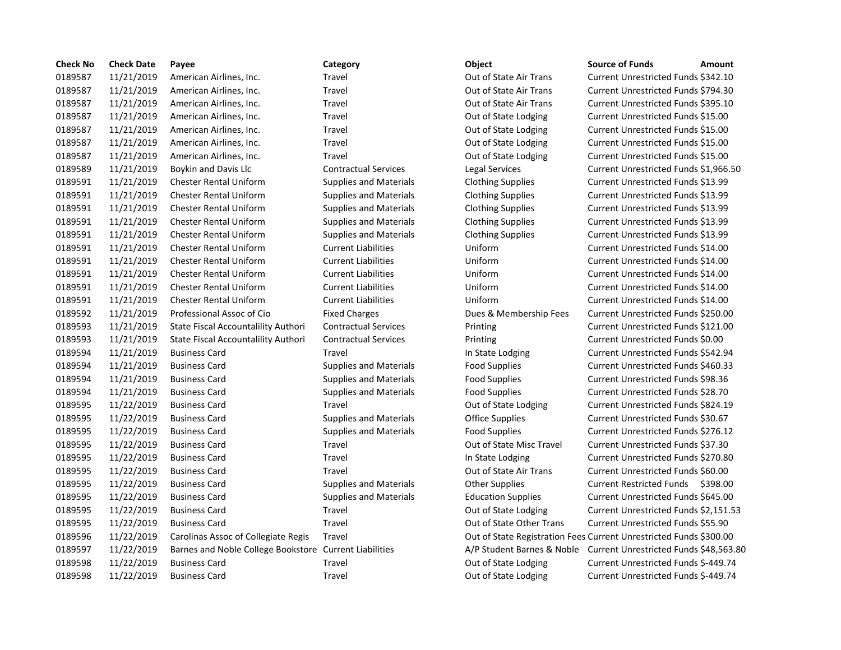| <b>Check No</b> | <b>Check Date</b> | Payee                                                  | Category                      | Object                    | <b>Source of Funds</b><br>Amount                                   |
|-----------------|-------------------|--------------------------------------------------------|-------------------------------|---------------------------|--------------------------------------------------------------------|
| 0189587         | 11/21/2019        | American Airlines, Inc.                                | Travel                        | Out of State Air Trans    | Current Unrestricted Funds \$342.10                                |
| 0189587         | 11/21/2019        | American Airlines, Inc.                                | Travel                        | Out of State Air Trans    | Current Unrestricted Funds \$794.30                                |
| 0189587         | 11/21/2019        | American Airlines, Inc.                                | Travel                        | Out of State Air Trans    | Current Unrestricted Funds \$395.10                                |
| 0189587         | 11/21/2019        | American Airlines, Inc.                                | Travel                        | Out of State Lodging      | Current Unrestricted Funds \$15.00                                 |
| 0189587         | 11/21/2019        | American Airlines, Inc.                                | Travel                        | Out of State Lodging      | Current Unrestricted Funds \$15.00                                 |
| 0189587         | 11/21/2019        | American Airlines, Inc.                                | Travel                        | Out of State Lodging      | Current Unrestricted Funds \$15.00                                 |
| 0189587         | 11/21/2019        | American Airlines, Inc.                                | <b>Travel</b>                 | Out of State Lodging      | Current Unrestricted Funds \$15.00                                 |
| 0189589         | 11/21/2019        | Boykin and Davis Llc                                   | <b>Contractual Services</b>   | Legal Services            | Current Unrestricted Funds \$1,966.                                |
| 0189591         | 11/21/2019        | <b>Chester Rental Uniform</b>                          | <b>Supplies and Materials</b> | <b>Clothing Supplies</b>  | Current Unrestricted Funds \$13.99                                 |
| 0189591         | 11/21/2019        | <b>Chester Rental Uniform</b>                          | <b>Supplies and Materials</b> | <b>Clothing Supplies</b>  | Current Unrestricted Funds \$13.99                                 |
| 0189591         | 11/21/2019        | <b>Chester Rental Uniform</b>                          | <b>Supplies and Materials</b> | <b>Clothing Supplies</b>  | Current Unrestricted Funds \$13.99                                 |
| 0189591         | 11/21/2019        | <b>Chester Rental Uniform</b>                          | <b>Supplies and Materials</b> | <b>Clothing Supplies</b>  | Current Unrestricted Funds \$13.99                                 |
| 0189591         | 11/21/2019        | <b>Chester Rental Uniform</b>                          | <b>Supplies and Materials</b> | <b>Clothing Supplies</b>  | Current Unrestricted Funds \$13.99                                 |
| 0189591         | 11/21/2019        | <b>Chester Rental Uniform</b>                          | <b>Current Liabilities</b>    | Uniform                   | Current Unrestricted Funds \$14.00                                 |
| 0189591         | 11/21/2019        | <b>Chester Rental Uniform</b>                          | <b>Current Liabilities</b>    | Uniform                   | Current Unrestricted Funds \$14.00                                 |
| 0189591         | 11/21/2019        | <b>Chester Rental Uniform</b>                          | <b>Current Liabilities</b>    | Uniform                   | Current Unrestricted Funds \$14.00                                 |
| 0189591         | 11/21/2019        | <b>Chester Rental Uniform</b>                          | <b>Current Liabilities</b>    | Uniform                   | Current Unrestricted Funds \$14.00                                 |
| 0189591         | 11/21/2019        | <b>Chester Rental Uniform</b>                          | <b>Current Liabilities</b>    | Uniform                   | Current Unrestricted Funds \$14.00                                 |
| 0189592         | 11/21/2019        | Professional Assoc of Cio                              | <b>Fixed Charges</b>          | Dues & Membership Fees    | Current Unrestricted Funds \$250.00                                |
| 0189593         | 11/21/2019        | State Fiscal Accountalility Authori                    | <b>Contractual Services</b>   | Printing                  | Current Unrestricted Funds \$121.00                                |
| 0189593         | 11/21/2019        | State Fiscal Accountalility Authori                    | <b>Contractual Services</b>   | Printing                  | Current Unrestricted Funds \$0.00                                  |
| 0189594         | 11/21/2019        | <b>Business Card</b>                                   | Travel                        | In State Lodging          | Current Unrestricted Funds \$542.94                                |
| 0189594         | 11/21/2019        | <b>Business Card</b>                                   | <b>Supplies and Materials</b> | <b>Food Supplies</b>      | Current Unrestricted Funds \$460.33                                |
| 0189594         | 11/21/2019        | <b>Business Card</b>                                   | <b>Supplies and Materials</b> | <b>Food Supplies</b>      | Current Unrestricted Funds \$98.36                                 |
| 0189594         | 11/21/2019        | <b>Business Card</b>                                   | <b>Supplies and Materials</b> | <b>Food Supplies</b>      | Current Unrestricted Funds \$28.70                                 |
| 0189595         | 11/22/2019        | <b>Business Card</b>                                   | Travel                        | Out of State Lodging      | Current Unrestricted Funds \$824.19                                |
| 0189595         | 11/22/2019        | <b>Business Card</b>                                   | <b>Supplies and Materials</b> | <b>Office Supplies</b>    | Current Unrestricted Funds \$30.67                                 |
| 0189595         | 11/22/2019        | <b>Business Card</b>                                   | <b>Supplies and Materials</b> | Food Supplies             | Current Unrestricted Funds \$276.12                                |
| 0189595         | 11/22/2019        | <b>Business Card</b>                                   | Travel                        | Out of State Misc Travel  | Current Unrestricted Funds \$37.30                                 |
| 0189595         | 11/22/2019        | <b>Business Card</b>                                   | Travel                        | In State Lodging          | Current Unrestricted Funds \$270.80                                |
| 0189595         | 11/22/2019        | <b>Business Card</b>                                   | Travel                        | Out of State Air Trans    | Current Unrestricted Funds \$60.00                                 |
| 0189595         | 11/22/2019        | <b>Business Card</b>                                   | <b>Supplies and Materials</b> | <b>Other Supplies</b>     | Current Restricted Funds \$398.00                                  |
| 0189595         | 11/22/2019        | <b>Business Card</b>                                   | <b>Supplies and Materials</b> | <b>Education Supplies</b> | Current Unrestricted Funds \$645.00                                |
| 0189595         | 11/22/2019        | <b>Business Card</b>                                   | Travel                        | Out of State Lodging      | Current Unrestricted Funds \$2,151.                                |
| 0189595         | 11/22/2019        | <b>Business Card</b>                                   | Travel                        | Out of State Other Trans  | Current Unrestricted Funds \$55.90                                 |
| 0189596         | 11/22/2019        | Carolinas Assoc of Collegiate Regis                    | Travel                        |                           | Out of State Registration Fees Current Unrestricted Funds \$300.00 |
| 0189597         | 11/22/2019        | Barnes and Noble College Bookstore Current Liabilities |                               |                           | A/P Student Barnes & Noble Current Unrestricted Funds \$48,563     |
| 0189598         | 11/22/2019        | <b>Business Card</b>                                   | Travel                        | Out of State Lodging      | Current Unrestricted Funds \$-449.74                               |
| 0189598         | 11/22/2019        | <b>Business Card</b>                                   | Travel                        | Out of State Lodging      | Current Unrestricted Funds \$-449.74                               |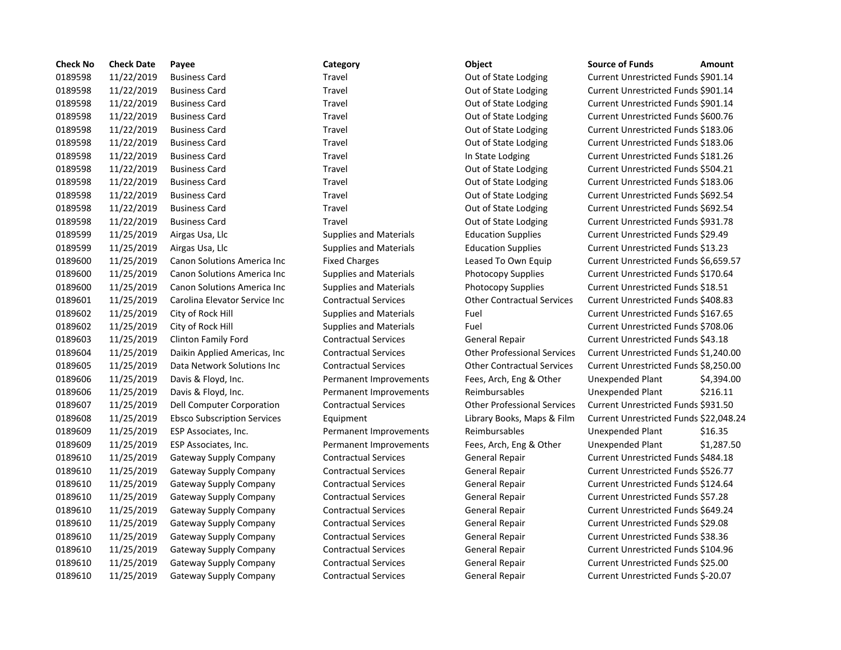| <b>Check No</b> | <b>Check Date</b> | Payee                              | Category                      | Object                             | <b>Source of Funds</b><br>Amount          |
|-----------------|-------------------|------------------------------------|-------------------------------|------------------------------------|-------------------------------------------|
| 0189598         | 11/22/2019        | <b>Business Card</b>               | Travel                        | Out of State Lodging               | Current Unrestricted Funds \$901.14       |
| 0189598         | 11/22/2019        | <b>Business Card</b>               | Travel                        | Out of State Lodging               | Current Unrestricted Funds \$901.14       |
| 0189598         | 11/22/2019        | <b>Business Card</b>               | Travel                        | Out of State Lodging               | Current Unrestricted Funds \$901.14       |
| 0189598         | 11/22/2019        | <b>Business Card</b>               | Travel                        | Out of State Lodging               | Current Unrestricted Funds \$600.76       |
| 0189598         | 11/22/2019        | <b>Business Card</b>               | Travel                        | Out of State Lodging               | Current Unrestricted Funds \$183.06       |
| 0189598         | 11/22/2019        | <b>Business Card</b>               | <b>Travel</b>                 | Out of State Lodging               | Current Unrestricted Funds \$183.06       |
| 0189598         | 11/22/2019        | <b>Business Card</b>               | Travel                        | In State Lodging                   | Current Unrestricted Funds \$181.26       |
| 0189598         | 11/22/2019        | <b>Business Card</b>               | Travel                        | Out of State Lodging               | Current Unrestricted Funds \$504.21       |
| 0189598         | 11/22/2019        | <b>Business Card</b>               | Travel                        | Out of State Lodging               | Current Unrestricted Funds \$183.06       |
| 0189598         | 11/22/2019        | <b>Business Card</b>               | Travel                        | Out of State Lodging               | Current Unrestricted Funds \$692.54       |
| 0189598         | 11/22/2019        | <b>Business Card</b>               | Travel                        | Out of State Lodging               | Current Unrestricted Funds \$692.54       |
| 0189598         | 11/22/2019        | <b>Business Card</b>               | Travel                        | Out of State Lodging               | Current Unrestricted Funds \$931.78       |
| 0189599         | 11/25/2019        | Airgas Usa, Llc                    | <b>Supplies and Materials</b> | <b>Education Supplies</b>          | Current Unrestricted Funds \$29.49        |
| 0189599         | 11/25/2019        | Airgas Usa, Llc                    | <b>Supplies and Materials</b> | <b>Education Supplies</b>          | Current Unrestricted Funds \$13.23        |
| 0189600         | 11/25/2019        | Canon Solutions America Inc        | <b>Fixed Charges</b>          | Leased To Own Equip                | Current Unrestricted Funds \$6,659.5      |
| 0189600         | 11/25/2019        | Canon Solutions America Inc        | <b>Supplies and Materials</b> | <b>Photocopy Supplies</b>          | Current Unrestricted Funds \$170.64       |
| 0189600         | 11/25/2019        | Canon Solutions America Inc        | <b>Supplies and Materials</b> | Photocopy Supplies                 | Current Unrestricted Funds \$18.51        |
| 0189601         | 11/25/2019        | Carolina Elevator Service Inc      | <b>Contractual Services</b>   | <b>Other Contractual Services</b>  | Current Unrestricted Funds \$408.83       |
| 0189602         | 11/25/2019        | City of Rock Hill                  | <b>Supplies and Materials</b> | Fuel                               | Current Unrestricted Funds \$167.65       |
| 0189602         | 11/25/2019        | City of Rock Hill                  | <b>Supplies and Materials</b> | Fuel                               | Current Unrestricted Funds \$708.06       |
| 0189603         | 11/25/2019        | Clinton Family Ford                | <b>Contractual Services</b>   | General Repair                     | Current Unrestricted Funds \$43.18        |
| 0189604         | 11/25/2019        | Daikin Applied Americas, Inc.      | <b>Contractual Services</b>   | <b>Other Professional Services</b> | Current Unrestricted Funds \$1,240.0      |
| 0189605         | 11/25/2019        | Data Network Solutions Inc         | <b>Contractual Services</b>   | <b>Other Contractual Services</b>  | Current Unrestricted Funds \$8,250.0      |
| 0189606         | 11/25/2019        | Davis & Floyd, Inc.                | Permanent Improvements        | Fees, Arch, Eng & Other            | \$4,394.0<br>Unexpended Plant             |
| 0189606         | 11/25/2019        | Davis & Floyd, Inc.                | Permanent Improvements        | Reimbursables                      | \$216.11<br>Unexpended Plant              |
| 0189607         | 11/25/2019        | Dell Computer Corporation          | <b>Contractual Services</b>   | <b>Other Professional Services</b> | Current Unrestricted Funds \$931.50       |
| 0189608         | 11/25/2019        | <b>Ebsco Subscription Services</b> | Equipment                     | Library Books, Maps & Film         | Current Unrestricted Funds \$22,048       |
| 0189609         | 11/25/2019        | ESP Associates, Inc.               | Permanent Improvements        | Reimbursables                      | Unexpended Plant<br>\$16.35               |
| 0189609         | 11/25/2019        | ESP Associates, Inc.               | Permanent Improvements        | Fees, Arch, Eng & Other            | \$1,287.5<br>Unexpended Plant             |
| 0189610         | 11/25/2019        | Gateway Supply Company             | <b>Contractual Services</b>   | General Repair                     | Current Unrestricted Funds \$484.18       |
| 0189610         | 11/25/2019        | Gateway Supply Company             | <b>Contractual Services</b>   | General Repair                     | Current Unrestricted Funds \$526.77       |
| 0189610         | 11/25/2019        | Gateway Supply Company             | <b>Contractual Services</b>   | General Repair                     | Current Unrestricted Funds \$124.64       |
| 0189610         | 11/25/2019        | Gateway Supply Company             | <b>Contractual Services</b>   | General Repair                     | <b>Current Unrestricted Funds \$57.28</b> |
| 0189610         | 11/25/2019        | <b>Gateway Supply Company</b>      | <b>Contractual Services</b>   | General Repair                     | Current Unrestricted Funds \$649.24       |
| 0189610         | 11/25/2019        | Gateway Supply Company             | <b>Contractual Services</b>   | General Repair                     | Current Unrestricted Funds \$29.08        |
| 0189610         | 11/25/2019        | Gateway Supply Company             | <b>Contractual Services</b>   | <b>General Repair</b>              | Current Unrestricted Funds \$38.36        |
| 0189610         | 11/25/2019        | Gateway Supply Company             | <b>Contractual Services</b>   | <b>General Repair</b>              | Current Unrestricted Funds \$104.96       |
| 0189610         | 11/25/2019        | Gateway Supply Company             | <b>Contractual Services</b>   | General Repair                     | Current Unrestricted Funds \$25.00        |
| 0189610         | 11/25/2019        | Gateway Supply Company             | <b>Contractual Services</b>   | <b>General Repair</b>              | Current Unrestricted Funds \$-20.07       |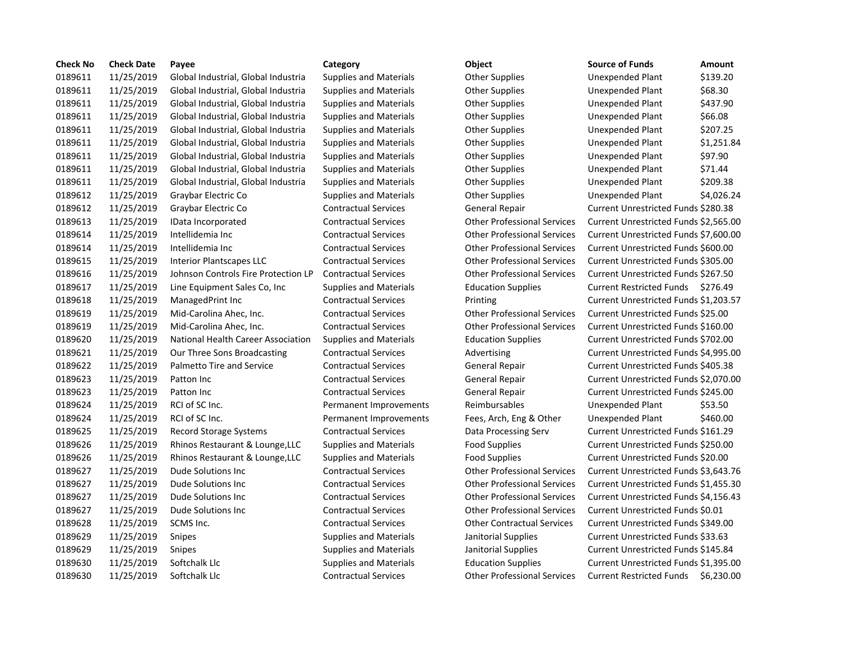| <b>Check No</b> | <b>Check Date</b> | Payee                               | Category                      | Object                             | <b>Source of Funds</b>                | <b>Amount</b> |
|-----------------|-------------------|-------------------------------------|-------------------------------|------------------------------------|---------------------------------------|---------------|
| 0189611         | 11/25/2019        | Global Industrial, Global Industria | <b>Supplies and Materials</b> | Other Supplies                     | Unexpended Plant                      | \$139.20      |
| 0189611         | 11/25/2019        | Global Industrial, Global Industria | <b>Supplies and Materials</b> | Other Supplies                     | Unexpended Plant                      | \$68.30       |
| 0189611         | 11/25/2019        | Global Industrial, Global Industria | <b>Supplies and Materials</b> | Other Supplies                     | Unexpended Plant                      | \$437.90      |
| 0189611         | 11/25/2019        | Global Industrial, Global Industria | <b>Supplies and Materials</b> | <b>Other Supplies</b>              | Unexpended Plant                      | \$66.08       |
| 0189611         | 11/25/2019        | Global Industrial, Global Industria | <b>Supplies and Materials</b> | <b>Other Supplies</b>              | Unexpended Plant                      | \$207.25      |
| 0189611         | 11/25/2019        | Global Industrial, Global Industria | <b>Supplies and Materials</b> | <b>Other Supplies</b>              | Unexpended Plant                      | \$1,251.84    |
| 0189611         | 11/25/2019        | Global Industrial, Global Industria | <b>Supplies and Materials</b> | <b>Other Supplies</b>              | Unexpended Plant                      | \$97.90       |
| 0189611         | 11/25/2019        | Global Industrial, Global Industria | <b>Supplies and Materials</b> | <b>Other Supplies</b>              | Unexpended Plant                      | \$71.44       |
| 0189611         | 11/25/2019        | Global Industrial, Global Industria | <b>Supplies and Materials</b> | <b>Other Supplies</b>              | Unexpended Plant                      | \$209.38      |
| 0189612         | 11/25/2019        | Graybar Electric Co                 | <b>Supplies and Materials</b> | <b>Other Supplies</b>              | Unexpended Plant                      | \$4,026.24    |
| 0189612         | 11/25/2019        | Graybar Electric Co                 | <b>Contractual Services</b>   | General Repair                     | Current Unrestricted Funds \$280.38   |               |
| 0189613         | 11/25/2019        | IData Incorporated                  | <b>Contractual Services</b>   | <b>Other Professional Services</b> | Current Unrestricted Funds \$2,565.00 |               |
| 0189614         | 11/25/2019        | Intellidemia Inc                    | <b>Contractual Services</b>   | <b>Other Professional Services</b> | Current Unrestricted Funds \$7,600.00 |               |
| 0189614         | 11/25/2019        | Intellidemia Inc                    | <b>Contractual Services</b>   | <b>Other Professional Services</b> | Current Unrestricted Funds \$600.00   |               |
| 0189615         | 11/25/2019        | <b>Interior Plantscapes LLC</b>     | <b>Contractual Services</b>   | <b>Other Professional Services</b> | Current Unrestricted Funds \$305.00   |               |
| 0189616         | 11/25/2019        | Johnson Controls Fire Protection LP | <b>Contractual Services</b>   | <b>Other Professional Services</b> | Current Unrestricted Funds \$267.50   |               |
| 0189617         | 11/25/2019        | Line Equipment Sales Co, Inc        | <b>Supplies and Materials</b> | <b>Education Supplies</b>          | Current Restricted Funds \$276.49     |               |
| 0189618         | 11/25/2019        | ManagedPrint Inc                    | <b>Contractual Services</b>   | Printing                           | Current Unrestricted Funds \$1,203.57 |               |
| 0189619         | 11/25/2019        | Mid-Carolina Ahec, Inc.             | <b>Contractual Services</b>   | <b>Other Professional Services</b> | Current Unrestricted Funds \$25.00    |               |
| 0189619         | 11/25/2019        | Mid-Carolina Ahec, Inc.             | <b>Contractual Services</b>   | <b>Other Professional Services</b> | Current Unrestricted Funds \$160.00   |               |
| 0189620         | 11/25/2019        | National Health Career Association  | <b>Supplies and Materials</b> | <b>Education Supplies</b>          | Current Unrestricted Funds \$702.00   |               |
| 0189621         | 11/25/2019        | Our Three Sons Broadcasting         | <b>Contractual Services</b>   | Advertising                        | Current Unrestricted Funds \$4,995.00 |               |
| 0189622         | 11/25/2019        | Palmetto Tire and Service           | <b>Contractual Services</b>   | General Repair                     | Current Unrestricted Funds \$405.38   |               |
| 0189623         | 11/25/2019        | Patton Inc                          | <b>Contractual Services</b>   | General Repair                     | Current Unrestricted Funds \$2,070.00 |               |
| 0189623         | 11/25/2019        | Patton Inc                          | <b>Contractual Services</b>   | <b>General Repair</b>              | Current Unrestricted Funds \$245.00   |               |
| 0189624         | 11/25/2019        | RCI of SC Inc.                      | Permanent Improvements        | Reimbursables                      | Unexpended Plant                      | \$53.50       |
| 0189624         | 11/25/2019        | RCI of SC Inc.                      | Permanent Improvements        | Fees, Arch, Eng & Other            | Unexpended Plant                      | \$460.00      |
| 0189625         | 11/25/2019        | <b>Record Storage Systems</b>       | <b>Contractual Services</b>   | Data Processing Serv               | Current Unrestricted Funds \$161.29   |               |
| 0189626         | 11/25/2019        | Rhinos Restaurant & Lounge, LLC     | <b>Supplies and Materials</b> | <b>Food Supplies</b>               | Current Unrestricted Funds \$250.00   |               |
| 0189626         | 11/25/2019        | Rhinos Restaurant & Lounge, LLC     | <b>Supplies and Materials</b> | <b>Food Supplies</b>               | Current Unrestricted Funds \$20.00    |               |
| 0189627         | 11/25/2019        | Dude Solutions Inc                  | <b>Contractual Services</b>   | <b>Other Professional Services</b> | Current Unrestricted Funds \$3,643.76 |               |
| 0189627         | 11/25/2019        | Dude Solutions Inc                  | <b>Contractual Services</b>   | <b>Other Professional Services</b> | Current Unrestricted Funds \$1,455.30 |               |
| 0189627         | 11/25/2019        | Dude Solutions Inc                  | <b>Contractual Services</b>   | <b>Other Professional Services</b> | Current Unrestricted Funds \$4,156.43 |               |
| 0189627         | 11/25/2019        | Dude Solutions Inc                  | <b>Contractual Services</b>   | <b>Other Professional Services</b> | Current Unrestricted Funds \$0.01     |               |
| 0189628         | 11/25/2019        | SCMS Inc.                           | <b>Contractual Services</b>   | <b>Other Contractual Services</b>  | Current Unrestricted Funds \$349.00   |               |
| 0189629         | 11/25/2019        | Snipes                              | <b>Supplies and Materials</b> | Janitorial Supplies                | Current Unrestricted Funds \$33.63    |               |
| 0189629         | 11/25/2019        | Snipes                              | <b>Supplies and Materials</b> | Janitorial Supplies                | Current Unrestricted Funds \$145.84   |               |
| 0189630         | 11/25/2019        | Softchalk Llc                       | <b>Supplies and Materials</b> | <b>Education Supplies</b>          | Current Unrestricted Funds \$1,395.00 |               |
| 0189630         | 11/25/2019        | Softchalk Llc                       | <b>Contractual Services</b>   | <b>Other Professional Services</b> | Current Restricted Funds \$6,230.00   |               |
|                 |                   |                                     |                               |                                    |                                       |               |

# Supplies and Materials **Canadia Industria Industrial** Other Supplies

| <b>Source of Funds</b>                | Amount     |
|---------------------------------------|------------|
| Unexpended Plant                      | \$139.20   |
| <b>Unexpended Plant</b>               | \$68.30    |
| <b>Unexpended Plant</b>               | \$437.90   |
| <b>Unexpended Plant</b>               | \$66.08    |
| <b>Unexpended Plant</b>               | \$207.25   |
| <b>Unexpended Plant</b>               | \$1,251.84 |
| <b>Unexpended Plant</b>               | \$97.90    |
| Unexpended Plant                      | \$71.44    |
| <b>Unexpended Plant</b>               | \$209.38   |
| Unexpended Plant                      | \$4,026.24 |
| Current Unrestricted Funds \$280.38   |            |
| Current Unrestricted Funds \$2,565.00 |            |
| Current Unrestricted Funds \$7,600.00 |            |
| Current Unrestricted Funds \$600.00   |            |
| Current Unrestricted Funds \$305.00   |            |
| Current Unrestricted Funds \$267.50   |            |
| <b>Current Restricted Funds</b>       | \$276.49   |
| Current Unrestricted Funds \$1,203.57 |            |
| Current Unrestricted Funds \$25.00    |            |
| Current Unrestricted Funds \$160.00   |            |
| Current Unrestricted Funds \$702.00   |            |
| Current Unrestricted Funds \$4,995.00 |            |
| Current Unrestricted Funds \$405.38   |            |
| Current Unrestricted Funds \$2,070.00 |            |
| Current Unrestricted Funds \$245.00   |            |
| Unexpended Plant                      | \$53.50    |
| <b>Unexpended Plant</b>               | \$460.00   |
| Current Unrestricted Funds \$161.29   |            |
| Current Unrestricted Funds \$250.00   |            |
| Current Unrestricted Funds \$20.00    |            |
| Current Unrestricted Funds \$3,643.76 |            |
| Current Unrestricted Funds \$1,455.30 |            |
| Current Unrestricted Funds \$4,156.43 |            |
| Current Unrestricted Funds \$0.01     |            |
| Current Unrestricted Funds \$349.00   |            |
| Current Unrestricted Funds \$33.63    |            |
| Current Unrestricted Funds \$145.84   |            |
| Current Unrestricted Funds \$1,395.00 |            |
| Current Restricted Funds \$6.230.00   |            |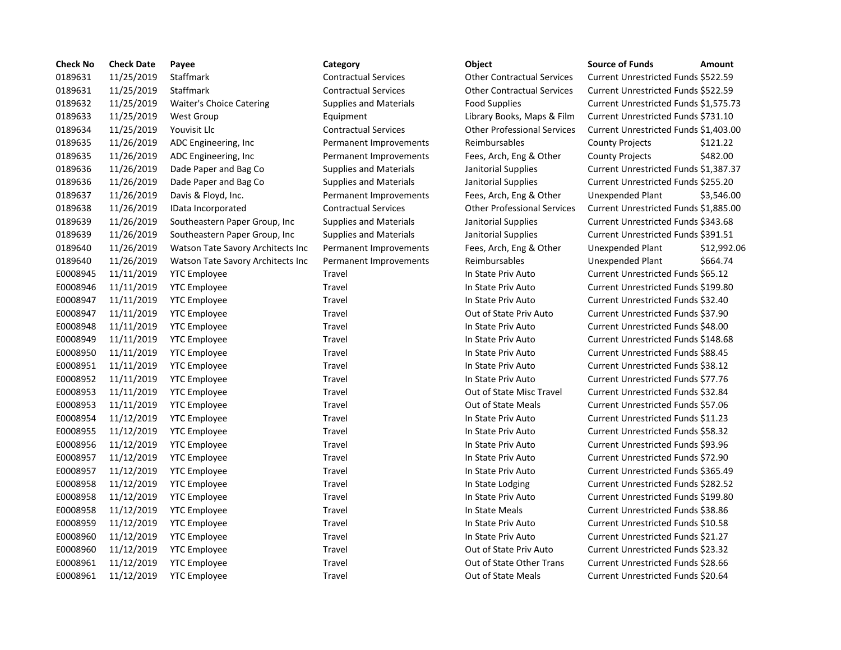| <b>Check No</b> | <b>Check Date</b> | Payee                             | Category                      | Object                             | <b>Source of Funds</b><br>Amount           |  |
|-----------------|-------------------|-----------------------------------|-------------------------------|------------------------------------|--------------------------------------------|--|
| 0189631         | 11/25/2019        | Staffmark                         | <b>Contractual Services</b>   | <b>Other Contractual Services</b>  | Current Unrestricted Funds \$522.59        |  |
| 0189631         | 11/25/2019        | Staffmark                         | <b>Contractual Services</b>   | <b>Other Contractual Services</b>  | Current Unrestricted Funds \$522.59        |  |
| 0189632         | 11/25/2019        | Waiter's Choice Catering          | <b>Supplies and Materials</b> | <b>Food Supplies</b>               | Current Unrestricted Funds \$1,575.7       |  |
| 0189633         | 11/25/2019        | <b>West Group</b>                 | Equipment                     | Library Books, Maps & Film         | Current Unrestricted Funds \$731.10        |  |
| 0189634         | 11/25/2019        | Youvisit Llc                      | <b>Contractual Services</b>   | <b>Other Professional Services</b> | Current Unrestricted Funds \$1,403.        |  |
| 0189635         | 11/26/2019        | ADC Engineering, Inc              | Permanent Improvements        | Reimbursables                      | <b>County Projects</b><br>\$121.22         |  |
| 0189635         | 11/26/2019        | ADC Engineering, Inc.             | Permanent Improvements        | Fees, Arch, Eng & Other            | \$482.00<br><b>County Projects</b>         |  |
| 0189636         | 11/26/2019        | Dade Paper and Bag Co             | <b>Supplies and Materials</b> | Janitorial Supplies                | Current Unrestricted Funds \$1,387.3       |  |
| 0189636         | 11/26/2019        | Dade Paper and Bag Co             | <b>Supplies and Materials</b> | Janitorial Supplies                | Current Unrestricted Funds \$255.20        |  |
| 0189637         | 11/26/2019        | Davis & Floyd, Inc.               | Permanent Improvements        | Fees, Arch, Eng & Other            | Unexpended Plant<br>\$3,546.0              |  |
| 0189638         | 11/26/2019        | IData Incorporated                | <b>Contractual Services</b>   | <b>Other Professional Services</b> | Current Unrestricted Funds \$1,885.0       |  |
| 0189639         | 11/26/2019        | Southeastern Paper Group, Inc     | <b>Supplies and Materials</b> | Janitorial Supplies                | Current Unrestricted Funds \$343.68        |  |
| 0189639         | 11/26/2019        | Southeastern Paper Group, Inc.    | <b>Supplies and Materials</b> | Janitorial Supplies                | Current Unrestricted Funds \$391.51        |  |
| 0189640         | 11/26/2019        | Watson Tate Savory Architects Inc | Permanent Improvements        | Fees, Arch, Eng & Other            | <b>Unexpended Plant</b><br>\$12,992        |  |
| 0189640         | 11/26/2019        | Watson Tate Savory Architects Inc | Permanent Improvements        | Reimbursables                      | \$664.74<br>Unexpended Plant               |  |
| E0008945        | 11/11/2019        | <b>YTC Employee</b>               | Travel                        | In State Priv Auto                 | Current Unrestricted Funds \$65.12         |  |
| E0008946        | 11/11/2019        | <b>YTC Employee</b>               | Travel                        | In State Priv Auto                 | Current Unrestricted Funds \$199.80        |  |
| E0008947        | 11/11/2019        | <b>YTC Employee</b>               | Travel                        | In State Priv Auto                 | Current Unrestricted Funds \$32.40         |  |
| E0008947        | 11/11/2019        | <b>YTC Employee</b>               | Travel                        | Out of State Priv Auto             | Current Unrestricted Funds \$37.90         |  |
| E0008948        | 11/11/2019        | <b>YTC Employee</b>               | Travel                        | In State Priv Auto                 | Current Unrestricted Funds \$48.00         |  |
| E0008949        | 11/11/2019        | <b>YTC Employee</b>               | Travel                        | In State Priv Auto                 | Current Unrestricted Funds \$148.68        |  |
| E0008950        | 11/11/2019        | <b>YTC Employee</b>               | Travel                        | In State Priv Auto                 | Current Unrestricted Funds \$88.45         |  |
| E0008951        | 11/11/2019        | <b>YTC Employee</b>               | Travel                        | In State Priv Auto                 | Current Unrestricted Funds \$38.12         |  |
| E0008952        | 11/11/2019        | <b>YTC Employee</b>               | Travel                        | In State Priv Auto                 | Current Unrestricted Funds \$77.76         |  |
| E0008953        | 11/11/2019        | <b>YTC Employee</b>               | Travel                        | Out of State Misc Travel           | Current Unrestricted Funds \$32.84         |  |
| E0008953        | 11/11/2019        | <b>YTC Employee</b>               | Travel                        | <b>Out of State Meals</b>          | Current Unrestricted Funds \$57.06         |  |
| E0008954        | 11/12/2019        | <b>YTC Employee</b>               | Travel                        | In State Priv Auto                 | Current Unrestricted Funds \$11.23         |  |
| E0008955        | 11/12/2019        | <b>YTC Employee</b>               | Travel                        | In State Priv Auto                 | <b>Current Unrestricted Funds \$58.32</b>  |  |
| E0008956        | 11/12/2019        | <b>YTC Employee</b>               | Travel                        | In State Priv Auto                 | Current Unrestricted Funds \$93.96         |  |
| E0008957        | 11/12/2019        | <b>YTC Employee</b>               | Travel                        | In State Priv Auto                 | Current Unrestricted Funds \$72.90         |  |
| E0008957        | 11/12/2019        | <b>YTC Employee</b>               | Travel                        | In State Priv Auto                 | Current Unrestricted Funds \$365.49        |  |
| E0008958        | 11/12/2019        | <b>YTC Employee</b>               | Travel                        | In State Lodging                   | <b>Current Unrestricted Funds \$282.52</b> |  |
| E0008958        | 11/12/2019        | <b>YTC Employee</b>               | Travel                        | In State Priv Auto                 | Current Unrestricted Funds \$199.80        |  |
| E0008958        | 11/12/2019        | <b>YTC Employee</b>               | Travel                        | In State Meals                     | Current Unrestricted Funds \$38.86         |  |
| E0008959        | 11/12/2019        | <b>YTC Employee</b>               | Travel                        | In State Priv Auto                 | Current Unrestricted Funds \$10.58         |  |
| E0008960        | 11/12/2019        | <b>YTC Employee</b>               | Travel                        | In State Priv Auto                 | Current Unrestricted Funds \$21.27         |  |
| E0008960        | 11/12/2019        | <b>YTC Employee</b>               | Travel                        | Out of State Priv Auto             | Current Unrestricted Funds \$23.32         |  |
| E0008961        | 11/12/2019        | <b>YTC Employee</b>               | Travel                        | Out of State Other Trans           | Current Unrestricted Funds \$28.66         |  |
| E0008961        | 11/12/2019        | <b>YTC Employee</b>               | Travel                        | Out of State Meals                 | Current Unrestricted Funds \$20.64         |  |